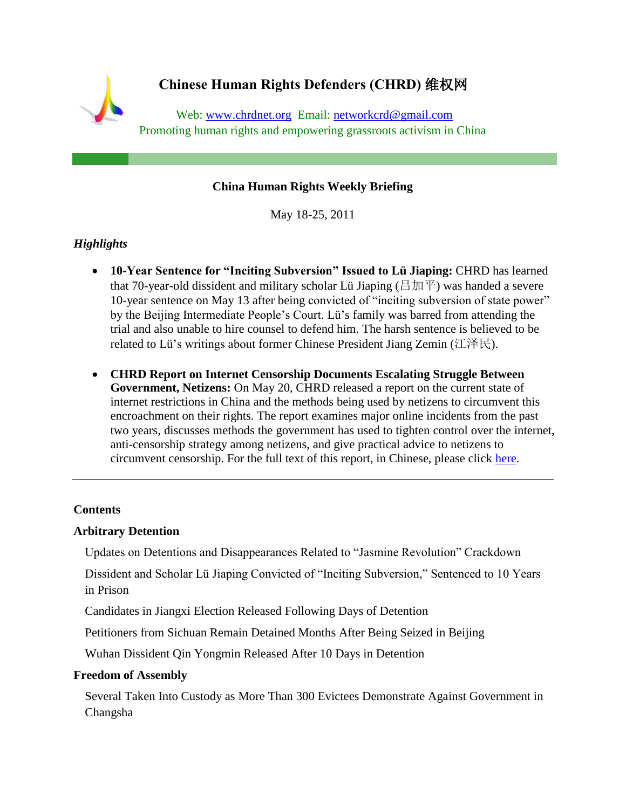# **Chinese Human Rights Defenders (CHRD)** 维权网 Web: [www.chrdnet.org](http://www.chrdnet.org/) Email: [networkcrd@gmail.com](http://us.mc395.mail.yahoo.com/mc/compose?to=network.crd@gmail.com) Promoting human rights and empowering grassroots activism in China

## **China Human Rights Weekly Briefing**

May 18-25, 2011

## *Highlights*

- **10-Year Sentence for "Inciting Subversion" Issued to Lü Jiaping:** CHRD has learned that 70-year-old dissident and military scholar Lü Jiaping (吕加平) was handed a severe 10-year sentence on May 13 after being convicted of "inciting subversion of state power" by the Beijing Intermediate People's Court. Lü's family was barred from attending the trial and also unable to hire counsel to defend him. The harsh sentence is believed to be related to Lü's writings about former Chinese President Jiang Zemin (江泽民).
- **CHRD Report on Internet Censorship Documents Escalating Struggle Between Government, Netizens:** On May 20, CHRD released a report on the current state of internet restrictions in China and the methods being used by netizens to circumvent this encroachment on their rights. The report examines major online incidents from the past two years, discusses methods the government has used to tighten control over the internet, anti-censorship strategy among netizens, and give practical advice to netizens to circumvent censorship. For the full text of this report, in Chinese, please click [here.](http://wqw2010.blogspot.com/2011/05/2009-2011_20.html)

#### **Contents**

#### **[Arbitrary Detention](#page-1-0)**

[Updates on Detentions and Disappearances Related to "Jasmine Revolution" Crackdown](#page-1-1)

[Dissident and Scholar Lü Jiaping Convicted of "Inciting Subversion," Sentenced to 10 Years](#page-1-2)  [in Prison](#page-1-2)

[Candidates in Jiangxi Election Released Following Days of Detention](#page-2-0)

[Petitioners from Sichuan Remain Detained Months After Being Seized in Beijing](#page-2-1)

[Wuhan Dissident Qin Yongmin Released After 10 Days in Detention](#page-2-2)

#### **[Freedom of Assembly](#page-2-3)**

[Several Taken Into Custody as More Than 300 Evictees Demonstrate Against Government in](#page-3-0)  [Changsha](#page-3-0)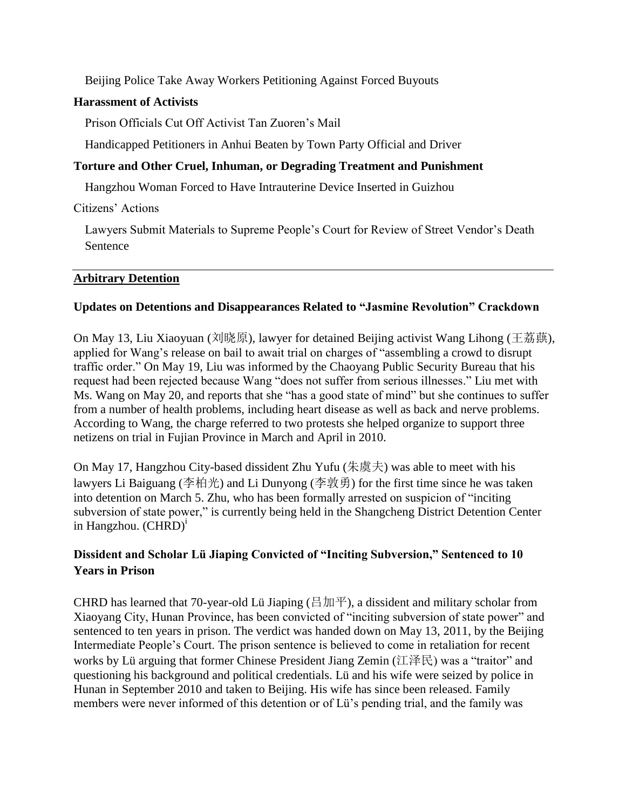[Beijing Police Take Away Workers Petitioning Against Forced Buyouts](#page-3-1)

#### **[Harassment of Activists](#page-3-2)**

[Prison Officials Cut Off Activist Tan Zuoren's Mail](#page-3-3)

[Handicapped Petitioners in Anhui Beaten by Town Party Official and Driver](#page-3-4)

## **[Torture and Other Cruel, Inhuman, or Degrading Treatment and Punishment](#page-4-0)**

[Hangzhou Woman Forced to Have Intrauterine Device Inserted in Guizhou](#page-4-1)

[Citizens' Actions](#page-4-2)

[Lawyers Submit Materials to Supreme People's Court for Review of Street Vendor's Death](#page-4-3)  [Sentence](#page-4-3)

## <span id="page-1-0"></span>**Arbitrary Detention**

## <span id="page-1-1"></span>**Updates on Detentions and Disappearances Related to "Jasmine Revolution" Crackdown**

On May 13, Liu Xiaoyuan (刘晓原), lawyer for detained Beijing activist Wang Lihong (王荔蕻), applied for Wang's release on bail to await trial on charges of "assembling a crowd to disrupt traffic order." On May 19, Liu was informed by the Chaoyang Public Security Bureau that his request had been rejected because Wang "does not suffer from serious illnesses." Liu met with Ms. Wang on May 20, and reports that she "has a good state of mind" but she continues to suffer from a number of health problems, including heart disease as well as back and nerve problems. According to Wang, the charge referred to two protests she helped organize to support three netizens on trial in Fujian Province in March and April in 2010.

On May 17, Hangzhou City-based dissident Zhu Yufu (朱虞夫) was able to meet with his lawyers Li Baiguang (李柏光) and Li Dunyong (李敦勇) for the first time since he was taken into detention on March 5. Zhu, who has been formally arrested on suspicion of "inciting subversion of state power," is currently being held in the Shangcheng District Detention Center in Hangzhou.  $(CHRD)^{i}$ 

# <span id="page-1-2"></span>**Dissident and Scholar Lü Jiaping Convicted of "Inciting Subversion," Sentenced to 10 Years in Prison**

CHRD has learned that 70-year-old Lü Jiaping ( $\exists \, \text{Im} \, \text{F}$ ), a dissident and military scholar from Xiaoyang City, Hunan Province, has been convicted of "inciting subversion of state power" and sentenced to ten years in prison. The verdict was handed down on May 13, 2011, by the Beijing Intermediate People's Court. The prison sentence is believed to come in retaliation for recent works by Lü arguing that former Chinese President Jiang Zemin (江泽民) was a "traitor" and questioning his background and political credentials. Lü and his wife were seized by police in Hunan in September 2010 and taken to Beijing. His wife has since been released. Family members were never informed of this detention or of Lü's pending trial, and the family was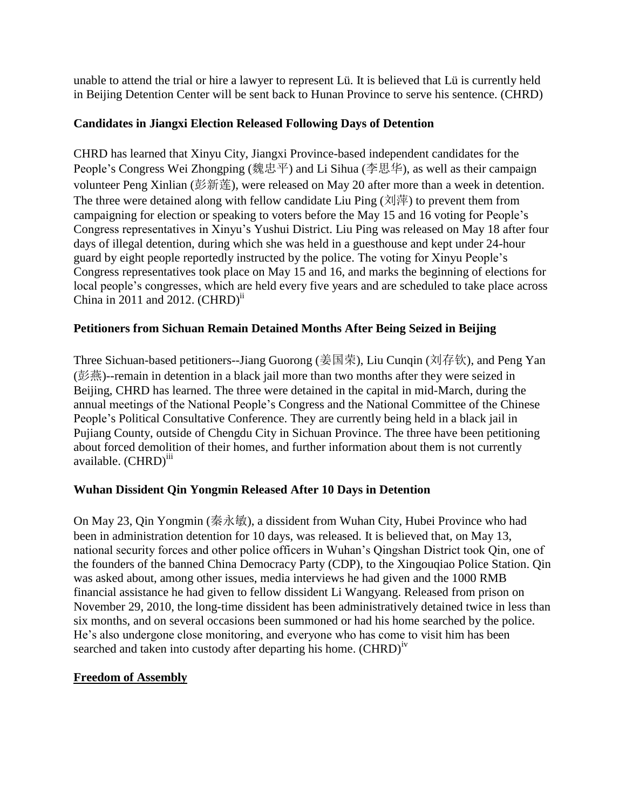unable to attend the trial or hire a lawyer to represent Lü. It is believed that Lü is currently held in Beijing Detention Center will be sent back to Hunan Province to serve his sentence. (CHRD)

## <span id="page-2-0"></span>**Candidates in Jiangxi Election Released Following Days of Detention**

CHRD has learned that Xinyu City, Jiangxi Province-based independent candidates for the People's Congress Wei Zhongping (魏忠平) and Li Sihua (李思华), as well as their campaign volunteer Peng Xinlian (彭新莲), were released on May 20 after more than a week in detention. The three were detained along with fellow candidate Liu Ping  $(\vec{X}|\vec{F})$  to prevent them from campaigning for election or speaking to voters before the May 15 and 16 voting for People's Congress representatives in Xinyu's Yushui District. Liu Ping was released on May 18 after four days of illegal detention, during which she was held in a guesthouse and kept under 24-hour guard by eight people reportedly instructed by the police. The voting for Xinyu People's Congress representatives took place on May 15 and 16, and marks the beginning of elections for local people's congresses, which are held every five years and are scheduled to take place across China in 2011 and 2012.  $(CHRD)^{ii}$ 

## <span id="page-2-1"></span>**Petitioners from Sichuan Remain Detained Months After Being Seized in Beijing**

Three Sichuan-based petitioners--Jiang Guorong (姜国荣), Liu Cunqin (刘存钦), and Peng Yan (彭燕)--remain in detention in a black jail more than two months after they were seized in Beijing, CHRD has learned. The three were detained in the capital in mid-March, during the annual meetings of the National People's Congress and the National Committee of the Chinese People's Political Consultative Conference. They are currently being held in a black jail in Pujiang County, outside of Chengdu City in Sichuan Province. The three have been petitioning about forced demolition of their homes, and further information about them is not currently available. (CHRD)<sup>iii</sup>

## <span id="page-2-2"></span>**Wuhan Dissident Qin Yongmin Released After 10 Days in Detention**

On May 23, Qin Yongmin (秦永敏), a dissident from Wuhan City, Hubei Province who had been in administration detention for 10 days, was released. It is believed that, on May 13, national security forces and other police officers in Wuhan's Qingshan District took Qin, one of the founders of the banned China Democracy Party (CDP), to the Xingouqiao Police Station. Qin was asked about, among other issues, media interviews he had given and the 1000 RMB financial assistance he had given to fellow dissident Li Wangyang. Released from prison on November 29, 2010, the long-time dissident has been administratively detained twice in less than six months, and on several occasions been summoned or had his home searched by the police. He's also undergone close monitoring, and everyone who has come to visit him has been searched and taken into custody after departing his home. (CHRD)<sup>iv</sup>

## <span id="page-2-3"></span>**Freedom of Assembly**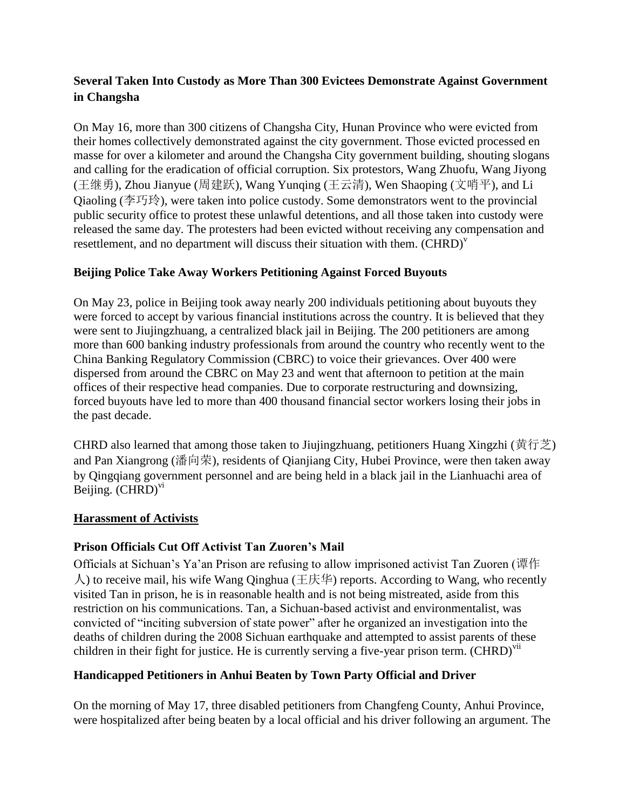# <span id="page-3-0"></span>**Several Taken Into Custody as More Than 300 Evictees Demonstrate Against Government in Changsha**

On May 16, more than 300 citizens of Changsha City, Hunan Province who were evicted from their homes collectively demonstrated against the city government. Those evicted processed en masse for over a kilometer and around the Changsha City government building, shouting slogans and calling for the eradication of official corruption. Six protestors, Wang Zhuofu, Wang Jiyong (王继勇), Zhou Jianyue (周建跃), Wang Yunqing (王云清), Wen Shaoping (文哨平), and Li Qiaoling (李巧玲), were taken into police custody. Some demonstrators went to the provincial public security office to protest these unlawful detentions, and all those taken into custody were released the same day. The protesters had been evicted without receiving any compensation and resettlement, and no department will discuss their situation with them.  $(CHRD)^V$ 

# <span id="page-3-1"></span>**Beijing Police Take Away Workers Petitioning Against Forced Buyouts**

On May 23, police in Beijing took away nearly 200 individuals petitioning about buyouts they were forced to accept by various financial institutions across the country. It is believed that they were sent to Jiujingzhuang, a centralized black jail in Beijing. The 200 petitioners are among more than 600 banking industry professionals from around the country who recently went to the China Banking Regulatory Commission (CBRC) to voice their grievances. Over 400 were dispersed from around the CBRC on May 23 and went that afternoon to petition at the main offices of their respective head companies. Due to corporate restructuring and downsizing, forced buyouts have led to more than 400 thousand financial sector workers losing their jobs in the past decade.

CHRD also learned that among those taken to Jiujingzhuang, petitioners Huang Xingzhi (黄行芝) and Pan Xiangrong (潘向荣), residents of Qianjiang City, Hubei Province, were then taken away by Qingqiang government personnel and are being held in a black jail in the Lianhuachi area of Beijing.  $(CHRD)^{vi}$ 

## <span id="page-3-2"></span>**Harassment of Activists**

# <span id="page-3-3"></span>**Prison Officials Cut Off Activist Tan Zuoren's Mail**

Officials at Sichuan's Ya'an Prison are refusing to allow imprisoned activist Tan Zuoren (谭作 人) to receive mail, his wife Wang Qinghua (王庆华) reports. According to Wang, who recently visited Tan in prison, he is in reasonable health and is not being mistreated, aside from this restriction on his communications. Tan, a Sichuan-based activist and environmentalist, was convicted of "inciting subversion of state power" after he organized an investigation into the deaths of children during the 2008 Sichuan earthquake and attempted to assist parents of these children in their fight for justice. He is currently serving a five-year prison term. (CHRD)<sup>vii</sup>

# <span id="page-3-4"></span>**Handicapped Petitioners in Anhui Beaten by Town Party Official and Driver**

On the morning of May 17, three disabled petitioners from Changfeng County, Anhui Province, were hospitalized after being beaten by a local official and his driver following an argument. The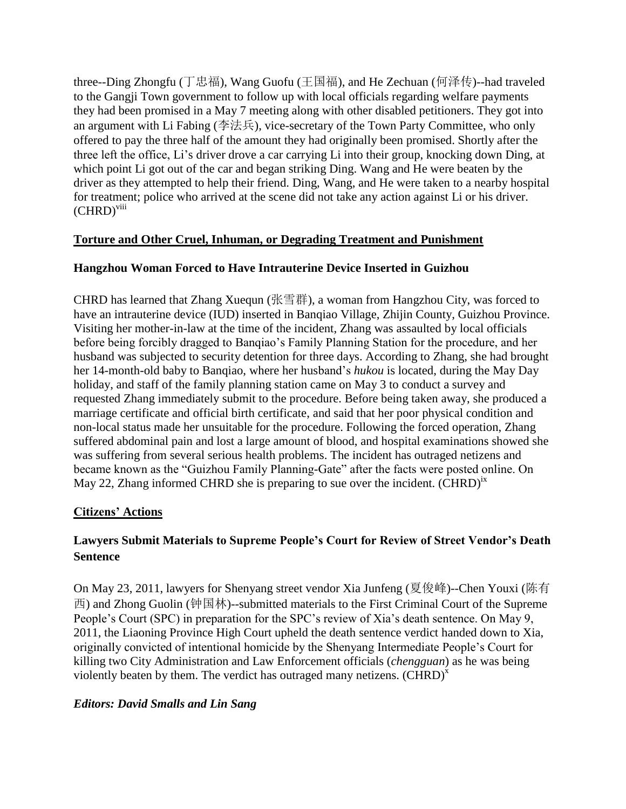three--Ding Zhongfu (丁忠福), Wang Guofu (王国福), and He Zechuan (何泽传)--had traveled to the Gangji Town government to follow up with local officials regarding welfare payments they had been promised in a May 7 meeting along with other disabled petitioners. They got into an argument with Li Fabing (李法兵), vice-secretary of the Town Party Committee, who only offered to pay the three half of the amount they had originally been promised. Shortly after the three left the office, Li's driver drove a car carrying Li into their group, knocking down Ding, at which point Li got out of the car and began striking Ding. Wang and He were beaten by the driver as they attempted to help their friend. Ding, Wang, and He were taken to a nearby hospital for treatment; police who arrived at the scene did not take any action against Li or his driver.  $(CHRD)^{viii}$ 

## <span id="page-4-0"></span>**Torture and Other Cruel, Inhuman, or Degrading Treatment and Punishment**

## <span id="page-4-1"></span>**Hangzhou Woman Forced to Have Intrauterine Device Inserted in Guizhou**

CHRD has learned that Zhang Xuequn (张雪群), a woman from Hangzhou City, was forced to have an intrauterine device (IUD) inserted in Banqiao Village, Zhijin County, Guizhou Province. Visiting her mother-in-law at the time of the incident, Zhang was assaulted by local officials before being forcibly dragged to Banqiao's Family Planning Station for the procedure, and her husband was subjected to security detention for three days. According to Zhang, she had brought her 14-month-old baby to Banqiao, where her husband's *hukou* is located, during the May Day holiday, and staff of the family planning station came on May 3 to conduct a survey and requested Zhang immediately submit to the procedure. Before being taken away, she produced a marriage certificate and official birth certificate, and said that her poor physical condition and non-local status made her unsuitable for the procedure. Following the forced operation, Zhang suffered abdominal pain and lost a large amount of blood, and hospital examinations showed she was suffering from several serious health problems. The incident has outraged netizens and became known as the "Guizhou Family Planning-Gate" after the facts were posted online. On May 22, Zhang informed CHRD she is preparing to sue over the incident.  $(CHRD)^{ix}$ 

## <span id="page-4-2"></span>**Citizens' Actions**

# <span id="page-4-3"></span>**Lawyers Submit Materials to Supreme People's Court for Review of Street Vendor's Death Sentence**

On May 23, 2011, lawyers for Shenyang street vendor Xia Junfeng (夏俊峰)--Chen Youxi (陈有 西) and Zhong Guolin (钟国林)--submitted materials to the First Criminal Court of the Supreme People's Court (SPC) in preparation for the SPC's review of Xia's death sentence. On May 9, 2011, the Liaoning Province High Court upheld the death sentence verdict handed down to Xia, originally convicted of intentional homicide by the Shenyang Intermediate People's Court for killing two City Administration and Law Enforcement officials (*chengguan*) as he was being violently beaten by them. The verdict has outraged many netizens.  $(CHRD)^{x}$ 

## *Editors: David Smalls and Lin Sang*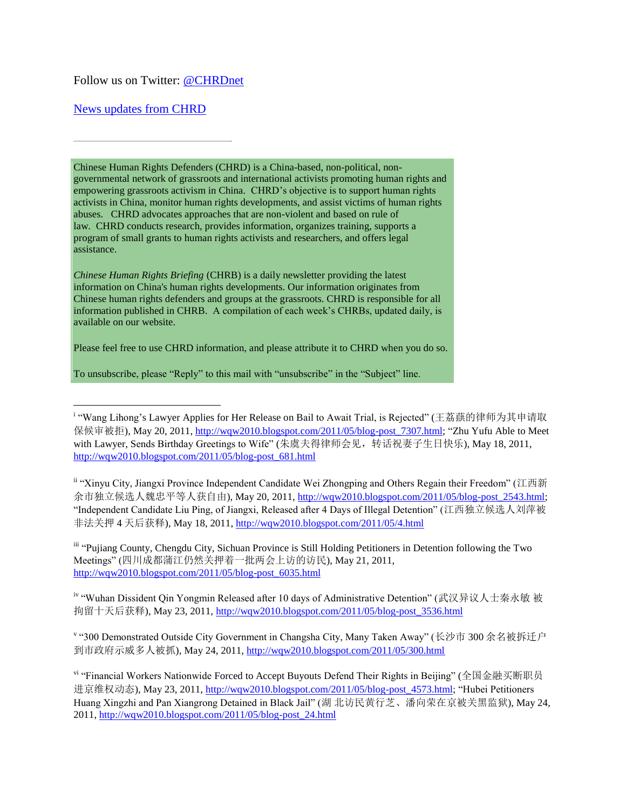#### Follow us on Twitter: [@CHRDnet](http://twitter.com/#%21/CHRDnet)

#### [News updates from CHRD](http://www.chrdnet.org/)

Chinese Human Rights Defenders (CHRD) is a China-based, non-political, nongovernmental network of grassroots and international activists promoting human rights and empowering grassroots activism in China. CHRD's objective is to support human rights activists in China, monitor human rights developments, and assist victims of human rights abuses. CHRD advocates approaches that are non-violent and based on rule of law. CHRD conducts research, provides information, organizes training, supports a program of small grants to human rights activists and researchers, and offers legal assistance.

*Chinese Human Rights Briefing* (CHRB) is a daily newsletter providing the latest information on China's human rights developments. Our information originates from Chinese human rights defenders and groups at the grassroots. CHRD is responsible for all information published in CHRB. A compilation of each week's CHRBs, updated daily, is available on our website.

Please feel free to use CHRD information, and please attribute it to CHRD when you do so.

To unsubscribe, please "Reply" to this mail with "unsubscribe" in the "Subject" line.

ii "Xinyu City, Jiangxi Province Independent Candidate Wei Zhongping and Others Regain their Freedom" (江西新 余市独立候选人魏忠平等人获自由), May 20, 2011, [http://wqw2010.blogspot.com/2011/05/blog-post\\_2543.html;](http://wqw2010.blogspot.com/2011/05/blog-post_2543.html) "Independent Candidate Liu Ping, of Jiangxi, Released after 4 Days of Illegal Detention" (江西独立候选人刘萍被 非法关押 4 天后获释), May 18, 2011[, http://wqw2010.blogspot.com/2011/05/4.html](http://wqw2010.blogspot.com/2011/05/4.html)

iii "Pujiang County, Chengdu City, Sichuan Province is Still Holding Petitioners in Detention following the Two Meetings" (四川成都蒲江仍然关押着一批两会上访的访民), May 21, 2011, [http://wqw2010.blogspot.com/2011/05/blog-post\\_6035.html](http://wqw2010.blogspot.com/2011/05/blog-post_6035.html)

iv "Wuhan Dissident Qin Yongmin Released after 10 days of Administrative Detention" (武汉异议人士秦永敏 被 拘留十天后获释), May 23, 2011, [http://wqw2010.blogspot.com/2011/05/blog-post\\_3536.html](http://wqw2010.blogspot.com/2011/05/blog-post_3536.html)

v "300 Demonstrated Outside City Government in Changsha City, Many Taken Away" (长沙市 300 余名被拆迁户 到市政府示威多人被抓), May 24, 2011,<http://wqw2010.blogspot.com/2011/05/300.html>

vi "Financial Workers Nationwide Forced to Accept Buyouts Defend Their Rights in Beijing" (全国金融买断职员 进京维权动态), May 23, 2011, [http://wqw2010.blogspot.com/2011/05/blog-post\\_4573.html;](http://wqw2010.blogspot.com/2011/05/blog-post_4573.html) "Hubei Petitioners Huang Xingzhi and Pan Xiangrong Detained in Black Jail" (湖 北访民黄行芝、潘向荣在京被关黑监狱), May 24, 2011, [http://wqw2010.blogspot.com/2011/05/blog-post\\_24.html](http://wqw2010.blogspot.com/2011/05/blog-post_24.html)

 i "Wang Lihong's Lawyer Applies for Her Release on Bail to Await Trial, is Rejected" (王荔蕻的律师为其申请取 保候审被拒), May 20, 2011, [http://wqw2010.blogspot.com/2011/05/blog-post\\_7307.html;](http://wqw2010.blogspot.com/2011/05/blog-post_7307.html) "Zhu Yufu Able to Meet with Lawyer, Sends Birthday Greetings to Wife" (朱虞夫得律师会见, 转话祝妻子生日快乐), May 18, 2011, [http://wqw2010.blogspot.com/2011/05/blog-post\\_681.html](http://wqw2010.blogspot.com/2011/05/blog-post_681.html)